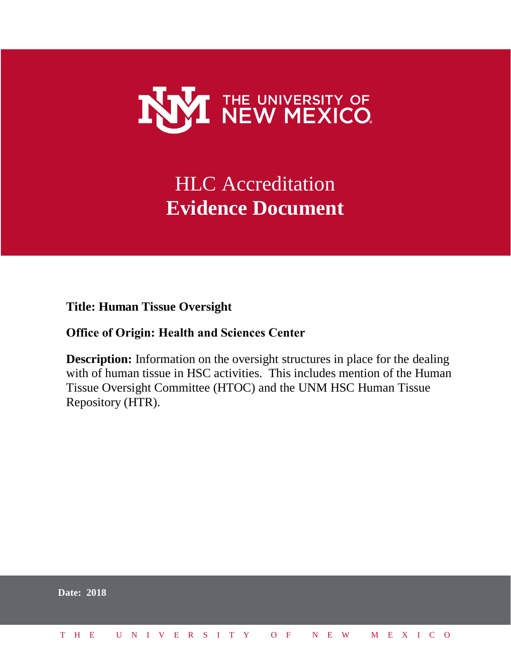

## HLC Accreditation **Evidence Document**

**Title: Human Tissue Oversight**

## **Office of Origin: Health and Sciences Center**

**Description:** Information on the oversight structures in place for the dealing with of human tissue in HSC activities. This includes mention of the Human Tissue Oversight Committee (HTOC) and the UNM HSC Human Tissue Repository (HTR).

| <b>Date: 2018</b> |  |  |  |  |  |  |  |  |  |                          |  |  |  |  |
|-------------------|--|--|--|--|--|--|--|--|--|--------------------------|--|--|--|--|
| THE T             |  |  |  |  |  |  |  |  |  | UNIVERSITY OF NEW MEXICO |  |  |  |  |